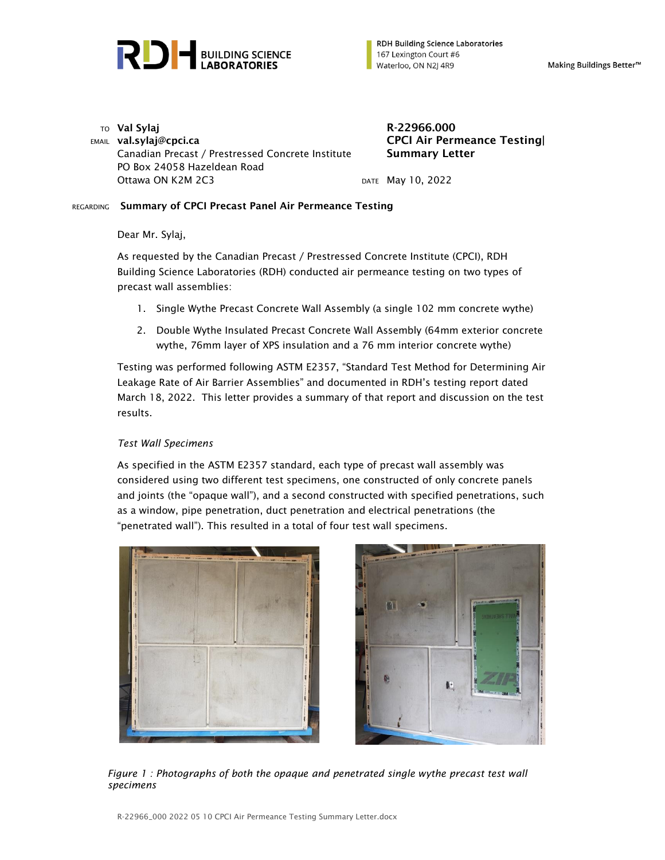

**RDH Building Science Laboratories** 167 Lexington Court #6 Waterloo, ON N2J 4R9

Making Buildings Better<sup>™</sup>

 $T$ O Val Sylaj R-22966.000 EMAIL val.sylaj@cpci.ca Canadian Precast / Prestressed Concrete Institute PO Box 24058 Hazeldean Road Ottawa ON K2M 2C3 DATE May 10, 2022

CPCI Air Permeance Testing| Summary Letter

## REGARDING Summary of CPCI Precast Panel Air Permeance Testing

Dear Mr. Sylaj,

As requested by the Canadian Precast / Prestressed Concrete Institute (CPCI), RDH Building Science Laboratories (RDH) conducted air permeance testing on two types of precast wall assemblies:

- 1. Single Wythe Precast Concrete Wall Assembly (a single 102 mm concrete wythe)
- 2. Double Wythe Insulated Precast Concrete Wall Assembly (64mm exterior concrete wythe, 76mm layer of XPS insulation and a 76 mm interior concrete wythe)

Testing was performed following ASTM E2357, "Standard Test Method for Determining Air Leakage Rate of Air Barrier Assemblies" and documented in RDH's testing report dated March 18, 2022. This letter provides a summary of that report and discussion on the test results.

## *Test Wall Specimens*

As specified in the ASTM E2357 standard, each type of precast wall assembly was considered using two different test specimens, one constructed of only concrete panels and joints (the "opaque wall"), and a second constructed with specified penetrations, such as a window, pipe penetration, duct penetration and electrical penetrations (the "penetrated wall"). This resulted in a total of four test wall specimens.





*Figure 1 : Photographs of both the opaque and penetrated single wythe precast test wall specimens*